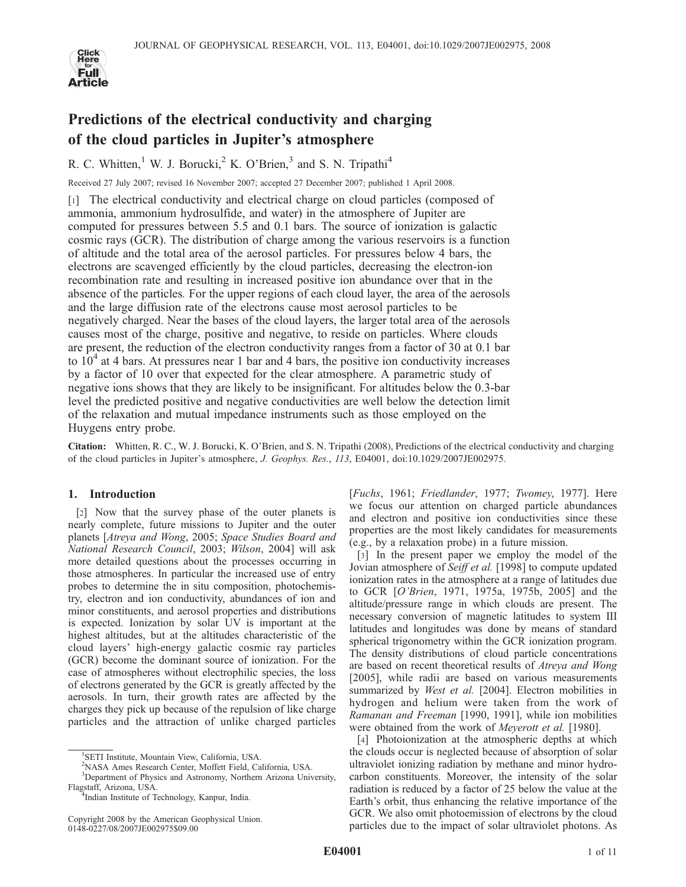

# Predictions of the electrical conductivity and charging of the cloud particles in Jupiter's atmosphere

R. C. Whitten,<sup>1</sup> W. J. Borucki,<sup>2</sup> K. O'Brien,<sup>3</sup> and S. N. Tripathi<sup>4</sup>

Received 27 July 2007; revised 16 November 2007; accepted 27 December 2007; published 1 April 2008.

[1] The electrical conductivity and electrical charge on cloud particles (composed of ammonia, ammonium hydrosulfide, and water) in the atmosphere of Jupiter are computed for pressures between 5.5 and 0.1 bars. The source of ionization is galactic cosmic rays (GCR). The distribution of charge among the various reservoirs is a function of altitude and the total area of the aerosol particles. For pressures below 4 bars, the electrons are scavenged efficiently by the cloud particles, decreasing the electron-ion recombination rate and resulting in increased positive ion abundance over that in the absence of the particles. For the upper regions of each cloud layer, the area of the aerosols and the large diffusion rate of the electrons cause most aerosol particles to be negatively charged. Near the bases of the cloud layers, the larger total area of the aerosols causes most of the charge, positive and negative, to reside on particles. Where clouds are present, the reduction of the electron conductivity ranges from a factor of 30 at 0.1 bar to  $10<sup>4</sup>$  at 4 bars. At pressures near 1 bar and 4 bars, the positive ion conductivity increases by a factor of 10 over that expected for the clear atmosphere. A parametric study of negative ions shows that they are likely to be insignificant. For altitudes below the 0.3-bar level the predicted positive and negative conductivities are well below the detection limit of the relaxation and mutual impedance instruments such as those employed on the Huygens entry probe.

Citation: Whitten, R. C., W. J. Borucki, K. O'Brien, and S. N. Tripathi (2008), Predictions of the electrical conductivity and charging of the cloud particles in Jupiter's atmosphere, J. Geophys. Res., 113, E04001, doi:10.1029/2007JE002975.

# 1. Introduction

[2] Now that the survey phase of the outer planets is nearly complete, future missions to Jupiter and the outer planets [Atreya and Wong, 2005; Space Studies Board and National Research Council, 2003; Wilson, 2004] will ask more detailed questions about the processes occurring in those atmospheres. In particular the increased use of entry probes to determine the in situ composition, photochemistry, electron and ion conductivity, abundances of ion and minor constituents, and aerosol properties and distributions is expected. Ionization by solar UV is important at the highest altitudes, but at the altitudes characteristic of the cloud layers' high-energy galactic cosmic ray particles (GCR) become the dominant source of ionization. For the case of atmospheres without electrophilic species, the loss of electrons generated by the GCR is greatly affected by the aerosols. In turn, their growth rates are affected by the charges they pick up because of the repulsion of like charge particles and the attraction of unlike charged particles

[Fuchs, 1961; Friedlander, 1977; Twomey, 1977]. Here we focus our attention on charged particle abundances and electron and positive ion conductivities since these properties are the most likely candidates for measurements (e.g., by a relaxation probe) in a future mission.

[3] In the present paper we employ the model of the Jovian atmosphere of Seiff et al. [1998] to compute updated ionization rates in the atmosphere at a range of latitudes due to GCR [O'Brien, 1971, 1975a, 1975b, 2005] and the altitude/pressure range in which clouds are present. The necessary conversion of magnetic latitudes to system III latitudes and longitudes was done by means of standard spherical trigonometry within the GCR ionization program. The density distributions of cloud particle concentrations are based on recent theoretical results of Atreya and Wong [2005], while radii are based on various measurements summarized by West et al. [2004]. Electron mobilities in hydrogen and helium were taken from the work of Ramanan and Freeman [1990, 1991], while ion mobilities were obtained from the work of Meyerott et al. [1980].

[4] Photoionization at the atmospheric depths at which the clouds occur is neglected because of absorption of solar ultraviolet ionizing radiation by methane and minor hydrocarbon constituents. Moreover, the intensity of the solar radiation is reduced by a factor of 25 below the value at the Earth's orbit, thus enhancing the relative importance of the GCR. We also omit photoemission of electrons by the cloud particles due to the impact of solar ultraviolet photons. As

<sup>&</sup>lt;sup>1</sup>SETI Institute, Mountain View, California, USA.

<sup>2</sup> NASA Ames Research Center, Moffett Field, California, USA.

<sup>&</sup>lt;sup>3</sup>Department of Physics and Astronomy, Northern Arizona University, Flagstaff, Arizona, USA. <sup>4</sup> Indian Institute of Technology, Kanpur, India.

Copyright 2008 by the American Geophysical Union. 0148-0227/08/2007JE002975\$09.00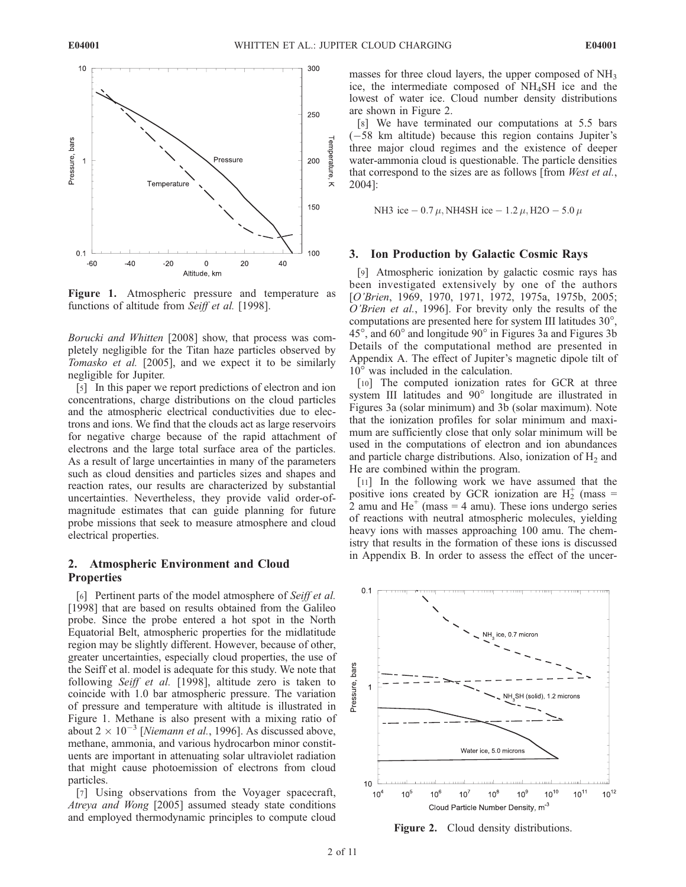

Figure 1. Atmospheric pressure and temperature as functions of altitude from Seiff et al. [1998].

Borucki and Whitten [2008] show, that process was completely negligible for the Titan haze particles observed by Tomasko et al. [2005], and we expect it to be similarly negligible for Jupiter.

[5] In this paper we report predictions of electron and ion concentrations, charge distributions on the cloud particles and the atmospheric electrical conductivities due to electrons and ions. We find that the clouds act as large reservoirs for negative charge because of the rapid attachment of electrons and the large total surface area of the particles. As a result of large uncertainties in many of the parameters such as cloud densities and particles sizes and shapes and reaction rates, our results are characterized by substantial uncertainties. Nevertheless, they provide valid order-ofmagnitude estimates that can guide planning for future probe missions that seek to measure atmosphere and cloud electrical properties.

## 2. Atmospheric Environment and Cloud **Properties**

[6] Pertinent parts of the model atmosphere of Seiff et al. [1998] that are based on results obtained from the Galileo probe. Since the probe entered a hot spot in the North Equatorial Belt, atmospheric properties for the midlatitude region may be slightly different. However, because of other, greater uncertainties, especially cloud properties, the use of the Seiff et al. model is adequate for this study. We note that following Seiff et al. [1998], altitude zero is taken to coincide with 1.0 bar atmospheric pressure. The variation of pressure and temperature with altitude is illustrated in Figure 1. Methane is also present with a mixing ratio of about 2  $\times$  10<sup>-3</sup> [Niemann et al., 1996]. As discussed above, methane, ammonia, and various hydrocarbon minor constituents are important in attenuating solar ultraviolet radiation that might cause photoemission of electrons from cloud particles.

[7] Using observations from the Voyager spacecraft, Atreya and Wong [2005] assumed steady state conditions and employed thermodynamic principles to compute cloud masses for three cloud layers, the upper composed of  $NH<sub>3</sub>$ ice, the intermediate composed of NH4SH ice and the lowest of water ice. Cloud number density distributions are shown in Figure 2.

[8] We have terminated our computations at 5.5 bars (-58 km altitude) because this region contains Jupiter's three major cloud regimes and the existence of deeper water-ammonia cloud is questionable. The particle densities that correspond to the sizes are as follows [from West et al., 2004]:

NH3 ice 
$$
- 0.7 \mu
$$
, NH4SH ice  $- 1.2 \mu$ , H2O  $- 5.0 \mu$ 

#### 3. Ion Production by Galactic Cosmic Rays

[9] Atmospheric ionization by galactic cosmic rays has been investigated extensively by one of the authors [O'Brien, 1969, 1970, 1971, 1972, 1975a, 1975b, 2005; O'Brien et al., 1996]. For brevity only the results of the computations are presented here for system III latitudes  $30^{\circ}$ ,  $45^{\circ}$ , and  $60^{\circ}$  and longitude  $90^{\circ}$  in Figures 3a and Figures 3b Details of the computational method are presented in Appendix A. The effect of Jupiter's magnetic dipole tilt of  $10^{\circ}$  was included in the calculation.

[10] The computed ionization rates for GCR at three system III latitudes and 90° longitude are illustrated in Figures 3a (solar minimum) and 3b (solar maximum). Note that the ionization profiles for solar minimum and maximum are sufficiently close that only solar minimum will be used in the computations of electron and ion abundances and particle charge distributions. Also, ionization of  $H_2$  and He are combined within the program.

[11] In the following work we have assumed that the positive ions created by GCR ionization are  $H_2^+$  (mass = 2 amu and  $He<sup>+</sup>$  (mass = 4 amu). These ions undergo series of reactions with neutral atmospheric molecules, yielding heavy ions with masses approaching 100 amu. The chemistry that results in the formation of these ions is discussed in Appendix B. In order to assess the effect of the uncer-



Figure 2. Cloud density distributions.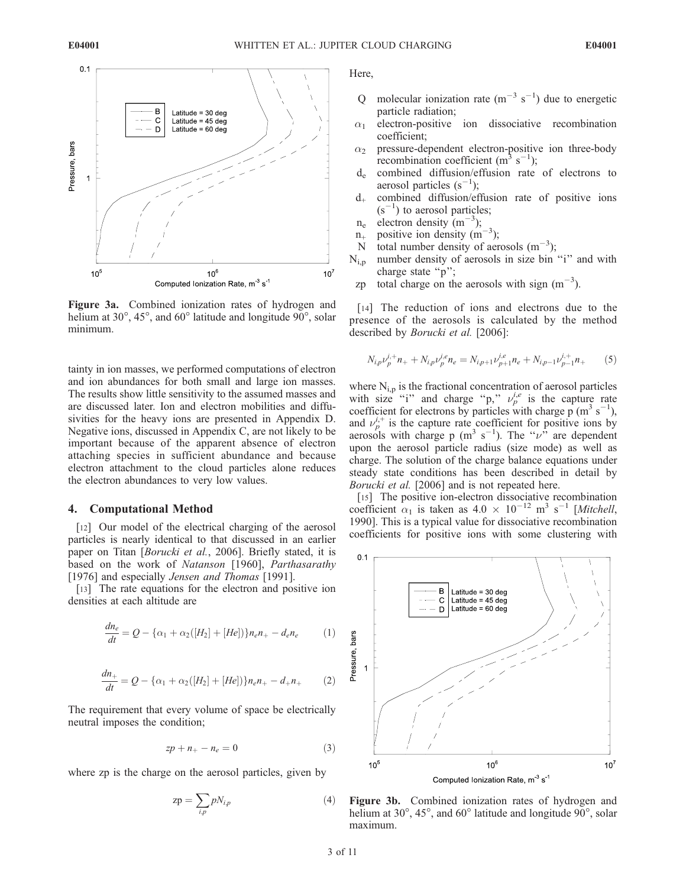

Figure 3a. Combined ionization rates of hydrogen and helium at  $30^\circ$ ,  $45^\circ$ , and  $60^\circ$  latitude and longitude  $90^\circ$ , solar minimum.

tainty in ion masses, we performed computations of electron and ion abundances for both small and large ion masses. The results show little sensitivity to the assumed masses and are discussed later. Ion and electron mobilities and diffusivities for the heavy ions are presented in Appendix D. Negative ions, discussed in Appendix C, are not likely to be important because of the apparent absence of electron attaching species in sufficient abundance and because electron attachment to the cloud particles alone reduces the electron abundances to very low values.

#### 4. Computational Method

[12] Our model of the electrical charging of the aerosol particles is nearly identical to that discussed in an earlier paper on Titan [*Borucki et al.*, 2006]. Briefly stated, it is based on the work of Natanson [1960], Parthasarathy [1976] and especially Jensen and Thomas [1991].

[13] The rate equations for the electron and positive ion densities at each altitude are

$$
\frac{dn_e}{dt} = Q - \{\alpha_1 + \alpha_2([H_2] + [He])\}n_e n_+ - d_e n_e \tag{1}
$$

$$
\frac{dn_+}{dt} = Q - \{\alpha_1 + \alpha_2([H_2] + [He])\}n_e n_+ - d_+ n_+ \tag{2}
$$

The requirement that every volume of space be electrically neutral imposes the condition;

$$
zp + n_+ - n_e = 0 \tag{3}
$$

where zp is the charge on the aerosol particles, given by

$$
zp = \sum_{i,p} pN_{i,p} \tag{4}
$$

Here,

- Q molecular ionization rate  $(m^{-3} s^{-1})$  due to energetic particle radiation;
- $\alpha_1$  electron-positive ion dissociative recombination coefficient;
- $\alpha_2$  pressure-dependent electron-positive ion three-body recombination coefficient (m<sup>3</sup> s<sup>-1</sup>);
- de combined diffusion/effusion rate of electrons to aerosol particles  $(s^{-1})$ ;
- d+ combined diffusion/effusion rate of positive ions  $(s^{-1})$  to aerosol particles;
- $n_e$  electron density (m<sup>-3</sup>);
- $n_+$  positive ion density  $(m^{-3})$ ;
- N total number density of aerosols  $(m^{-3})$ ;
- $N_{i,p}$  number density of aerosols in size bin "i" and with charge state "p";
	- zp total charge on the aerosols with sign  $(m^{-3})$ .

[14] The reduction of ions and electrons due to the presence of the aerosols is calculated by the method described by Borucki et al. [2006]:

$$
N_{i,p}\nu_p^{i,+}n_+ + N_{i,p}\nu_p^{i,e}n_e = N_{i,p+1}\nu_{p+1}^{i,e}n_e + N_{i,p-1}\nu_{p-1}^{i,+}n_+ \tag{5}
$$

where  $N_{i,p}$  is the fractional concentration of aerosol particles with size "i" and charge "p,"  $\nu_p^{i,e}$  is the capture rate coefficient for electrons by particles with charge  $p (m^3 s^{-1})$ , and  $\nu_p^{i,+}$  is the capture rate coefficient for positive ions by aerosols with charge p (m<sup>3</sup> s<sup>-1</sup>). The " $\nu$ " are dependent upon the aerosol particle radius (size mode) as well as charge. The solution of the charge balance equations under steady state conditions has been described in detail by Borucki et al. [2006] and is not repeated here.

[15] The positive ion-electron dissociative recombination coefficient  $\alpha_1$  is taken as  $4.0 \times 10^{-12}$  m<sup>3</sup> s<sup>-1</sup> [Mitchell, 1990]. This is a typical value for dissociative recombination coefficients for positive ions with some clustering with



Figure 3b. Combined ionization rates of hydrogen and helium at  $30^\circ$ ,  $45^\circ$ , and  $60^\circ$  latitude and longitude  $90^\circ$ , solar maximum.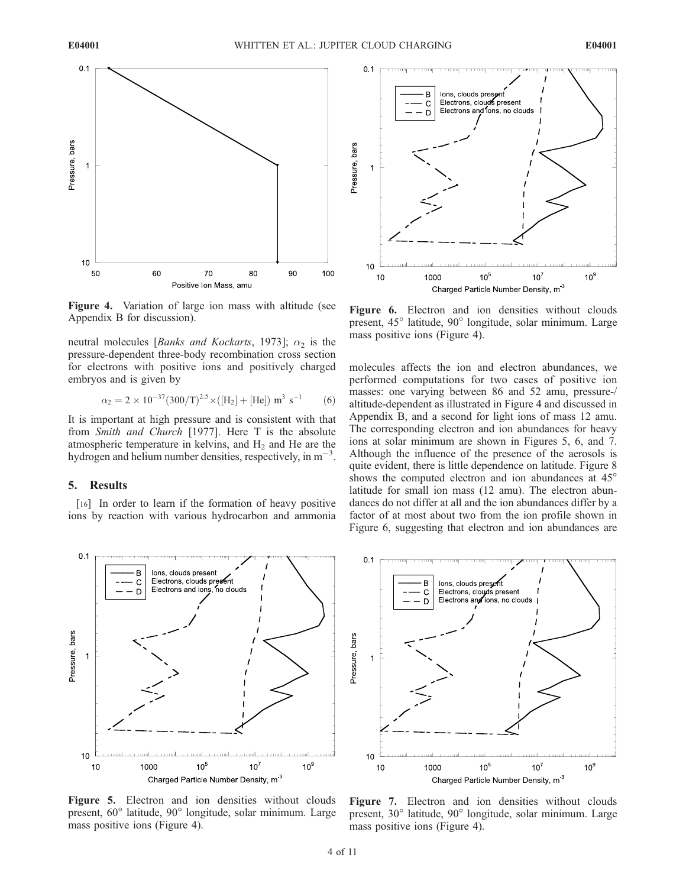

Figure 4. Variation of large ion mass with altitude (see Appendix B for discussion).

neutral molecules [*Banks and Kockarts*, 1973];  $\alpha_2$  is the pressure-dependent three-body recombination cross section for electrons with positive ions and positively charged embryos and is given by

$$
\alpha_2 = 2 \times 10^{-37} (300/T)^{2.5} \times ([H_2] + [He]) \text{ m}^3 \text{ s}^{-1}
$$
 (6)

It is important at high pressure and is consistent with that from Smith and Church [1977]. Here T is the absolute atmospheric temperature in kelvins, and  $H_2$  and He are the hydrogen and helium number densities, respectively, in  $m^{-3}$ .

## 5. Results

[16] In order to learn if the formation of heavy positive ions by reaction with various hydrocarbon and ammonia



Figure 6. Electron and ion densities without clouds present, 45<sup>°</sup> latitude, 90<sup>°</sup> longitude, solar minimum. Large mass positive ions (Figure 4).

molecules affects the ion and electron abundances, we performed computations for two cases of positive ion masses: one varying between 86 and 52 amu, pressure-/ altitude-dependent as illustrated in Figure 4 and discussed in Appendix B, and a second for light ions of mass 12 amu. The corresponding electron and ion abundances for heavy ions at solar minimum are shown in Figures 5, 6, and 7. Although the influence of the presence of the aerosols is quite evident, there is little dependence on latitude. Figure 8 shows the computed electron and ion abundances at 45<sup>o</sup> latitude for small ion mass (12 amu). The electron abundances do not differ at all and the ion abundances differ by a factor of at most about two from the ion profile shown in Figure 6, suggesting that electron and ion abundances are



Figure 5. Electron and ion densities without clouds present, 60° latitude, 90° longitude, solar minimum. Large mass positive ions (Figure 4).



Figure 7. Electron and ion densities without clouds present, 30° latitude, 90° longitude, solar minimum. Large mass positive ions (Figure 4).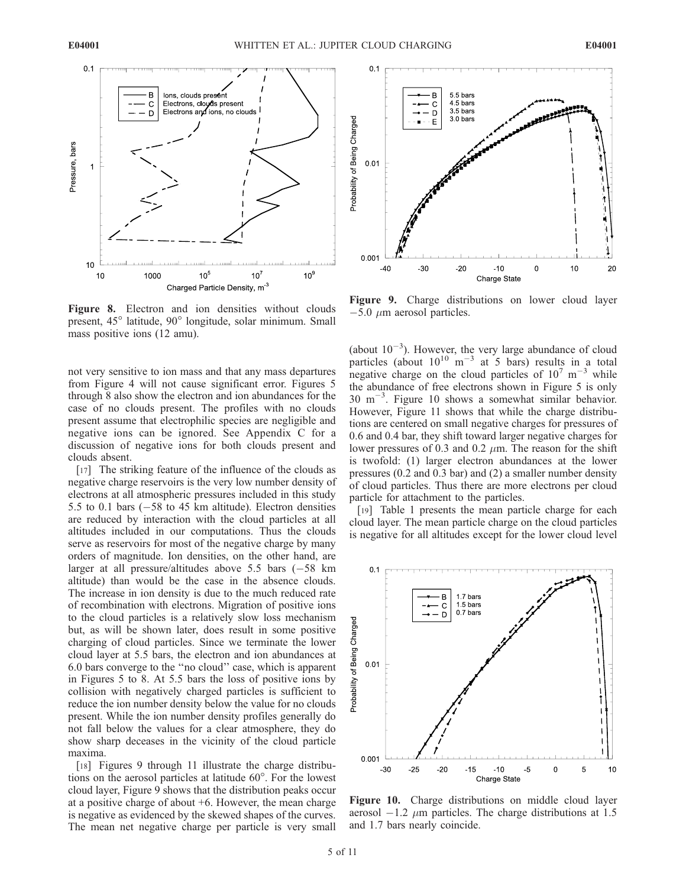$0.1$ 



Figure 8. Electron and ion densities without clouds present, 45<sup>°</sup> latitude, 90<sup>°</sup> longitude, solar minimum. Small mass positive ions (12 amu).

not very sensitive to ion mass and that any mass departures from Figure 4 will not cause significant error. Figures 5 through 8 also show the electron and ion abundances for the case of no clouds present. The profiles with no clouds present assume that electrophilic species are negligible and negative ions can be ignored. See Appendix C for a discussion of negative ions for both clouds present and clouds absent.

[17] The striking feature of the influence of the clouds as negative charge reservoirs is the very low number density of electrons at all atmospheric pressures included in this study 5.5 to 0.1 bars  $(-58$  to 45 km altitude). Electron densities are reduced by interaction with the cloud particles at all altitudes included in our computations. Thus the clouds serve as reservoirs for most of the negative charge by many orders of magnitude. Ion densities, on the other hand, are larger at all pressure/altitudes above 5.5 bars (-58 km altitude) than would be the case in the absence clouds. The increase in ion density is due to the much reduced rate of recombination with electrons. Migration of positive ions to the cloud particles is a relatively slow loss mechanism but, as will be shown later, does result in some positive charging of cloud particles. Since we terminate the lower cloud layer at 5.5 bars, the electron and ion abundances at 6.0 bars converge to the ''no cloud'' case, which is apparent in Figures 5 to 8. At 5.5 bars the loss of positive ions by collision with negatively charged particles is sufficient to reduce the ion number density below the value for no clouds present. While the ion number density profiles generally do not fall below the values for a clear atmosphere, they do show sharp deceases in the vicinity of the cloud particle maxima.

[18] Figures 9 through 11 illustrate the charge distributions on the aerosol particles at latitude  $60^\circ$ . For the lowest cloud layer, Figure 9 shows that the distribution peaks occur at a positive charge of about +6. However, the mean charge is negative as evidenced by the skewed shapes of the curves. The mean net negative charge per particle is very small



Figure 9. Charge distributions on lower cloud layer  $-5.0 \mu$ m aerosol particles.

(about  $10^{-3}$ ). However, the very large abundance of cloud particles (about  $10^{10}$  m<sup>-3</sup> at 5 bars) results in a total negative charge on the cloud particles of  $10^7 \text{ m}^{-3}$  while the abundance of free electrons shown in Figure 5 is only  $30 \text{ m}^{-3}$ . Figure 10 shows a somewhat similar behavior. However, Figure 11 shows that while the charge distributions are centered on small negative charges for pressures of 0.6 and 0.4 bar, they shift toward larger negative charges for lower pressures of 0.3 and 0.2  $\mu$ m. The reason for the shift is twofold: (1) larger electron abundances at the lower pressures (0.2 and 0.3 bar) and (2) a smaller number density of cloud particles. Thus there are more electrons per cloud particle for attachment to the particles.

[19] Table 1 presents the mean particle charge for each cloud layer. The mean particle charge on the cloud particles is negative for all altitudes except for the lower cloud level



Figure 10. Charge distributions on middle cloud layer aerosol  $-1.2 \mu$ m particles. The charge distributions at 1.5 and 1.7 bars nearly coincide.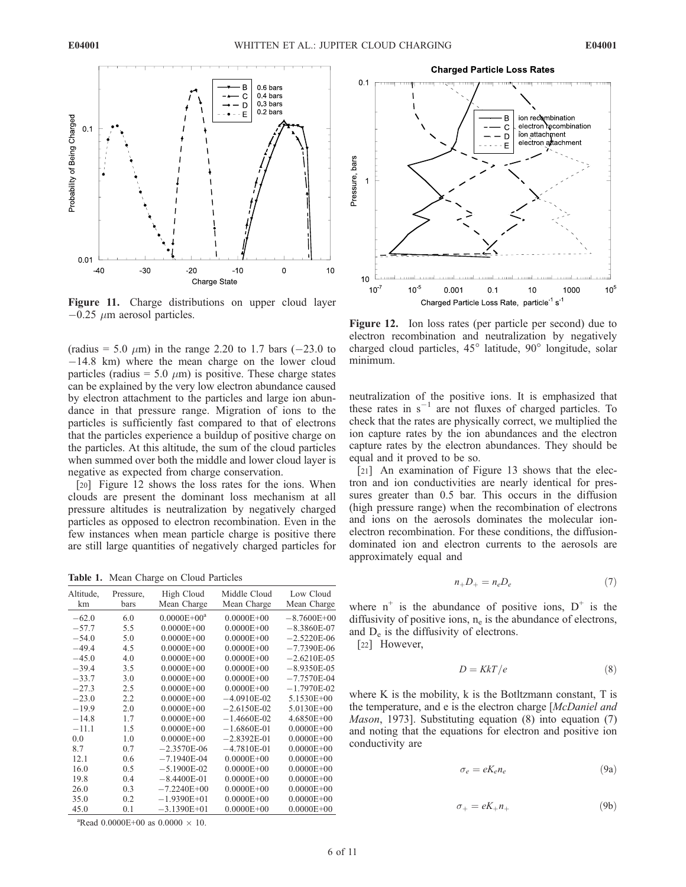

Figure 11. Charge distributions on upper cloud layer  $-0.25 \mu$ m aerosol particles.

(radius = 5.0  $\mu$ m) in the range 2.20 to 1.7 bars (-23.0 to -14.8 km) where the mean charge on the lower cloud particles (radius = 5.0  $\mu$ m) is positive. These charge states can be explained by the very low electron abundance caused by electron attachment to the particles and large ion abundance in that pressure range. Migration of ions to the particles is sufficiently fast compared to that of electrons that the particles experience a buildup of positive charge on the particles. At this altitude, the sum of the cloud particles when summed over both the middle and lower cloud layer is negative as expected from charge conservation.

[20] Figure 12 shows the loss rates for the ions. When clouds are present the dominant loss mechanism at all pressure altitudes is neutralization by negatively charged particles as opposed to electron recombination. Even in the few instances when mean particle charge is positive there are still large quantities of negatively charged particles for

Table 1. Mean Charge on Cloud Particles

| Altitude.<br>km | Pressure,<br>bars | High Cloud<br>Mean Charge | Middle Cloud<br>Mean Charge | Low Cloud<br>Mean Charge |
|-----------------|-------------------|---------------------------|-----------------------------|--------------------------|
| $-62.0$         | 6.0               | $0.0000E + 00a$           | $0.0000E + 00$              | $-8.7600E + 00$          |
| $-57.7$         | 5.5               | $0.0000E + 00$            | $0.0000E + 00$              | $-8.3860E-07$            |
| $-54.0$         | 5.0               | $0.0000E + 00$            | $0.0000E + 00$              | $-2.5220E-06$            |
| $-49.4$         | 4.5               | $0.0000E + 00$            | $0.0000E + 00$              | $-7.7390E-06$            |
| $-45.0$         | 4.0               | $0.0000E + 00$            | $0.0000E + 00$              | $-2.6210E-0.5$           |
| $-39.4$         | 3.5               | $0.0000E + 00$            | $0.0000E + 00$              | $-8.9350E-05$            |
| $-33.7$         | 3.0               | $0.0000E + 00$            | $0.0000E + 00$              | $-7.7570E-04$            |
| $-27.3$         | 2.5               | $0.0000E + 00$            | $0.0000E + 00$              | $-1.7970E-02$            |
| $-23.0$         | 2.2               | $0.0000E + 00$            | $-4.0910E-02$               | 5.1530E+00               |
| $-19.9$         | 2.0               | $0.0000E + 00$            | $-2.6150E-02$               | 5.0130E+00               |
| $-14.8$         | 1.7               | $0.0000E + 00$            | $-1.4660E-02$               | 4.6850E+00               |
| $-11.1$         | 1.5               | $0.0000E + 00$            | $-1.6860E-01$               | $0.0000E + 00$           |
| 0.0             | 1.0               | $0.0000E + 00$            | $-2.8392E-01$               | $0.0000E + 00$           |
| 8.7             | 0.7               | $-2.3570E-06$             | $-4.7810E-01$               | $0.0000E + 00$           |
| 12.1            | 0.6               | $-7.1940E-04$             | $0.0000E + 00$              | $0.0000E + 00$           |
| 16.0            | 0.5               | $-5.1900E-02$             | $0.0000E + 00$              | $0.0000E + 00$           |
| 19.8            | 0.4               | $-8.4400E-01$             | $0.0000E + 00$              | $0.0000E + 00$           |
| 26.0            | 0.3               | $-7.2240E + 00$           | $0.0000E + 00$              | $0.0000E + 00$           |
| 35.0            | 0.2               | $-1.9390E+01$             | $0.0000E + 00$              | $0.0000E + 00$           |
| 45.0            | 0.1               | $-3.1390E+01$             | $0.0000E + 00$              | $0.0000E + 00$           |
|                 |                   |                           |                             |                          |



**Charged Particle Loss Rates** 

Figure 12. Ion loss rates (per particle per second) due to electron recombination and neutralization by negatively charged cloud particles, 45° latitude, 90° longitude, solar minimum.

neutralization of the positive ions. It is emphasized that these rates in  $s^{-1}$  are not fluxes of charged particles. To check that the rates are physically correct, we multiplied the ion capture rates by the ion abundances and the electron capture rates by the electron abundances. They should be equal and it proved to be so.

[21] An examination of Figure 13 shows that the electron and ion conductivities are nearly identical for pressures greater than 0.5 bar. This occurs in the diffusion (high pressure range) when the recombination of electrons and ions on the aerosols dominates the molecular ionelectron recombination. For these conditions, the diffusiondominated ion and electron currents to the aerosols are approximately equal and

$$
n_+D_+ = n_e D_e \tag{7}
$$

where  $n^+$  is the abundance of positive ions,  $D^+$  is the diffusivity of positive ions,  $n_e$  is the abundance of electrons, and De is the diffusivity of electrons.

[22] However,

$$
D = KkT/e \tag{8}
$$

where  $K$  is the mobility,  $k$  is the Botltzmann constant,  $T$  is the temperature, and e is the electron charge [McDaniel and Mason, 1973]. Substituting equation (8) into equation (7) and noting that the equations for electron and positive ion conductivity are

$$
\sigma_e = eK_e n_e \tag{9a}
$$

$$
\sigma_+ = eK_+n_+ \tag{9b}
$$

<sup>a</sup>Read 0.0000E+00 as 0.0000  $\times$  10.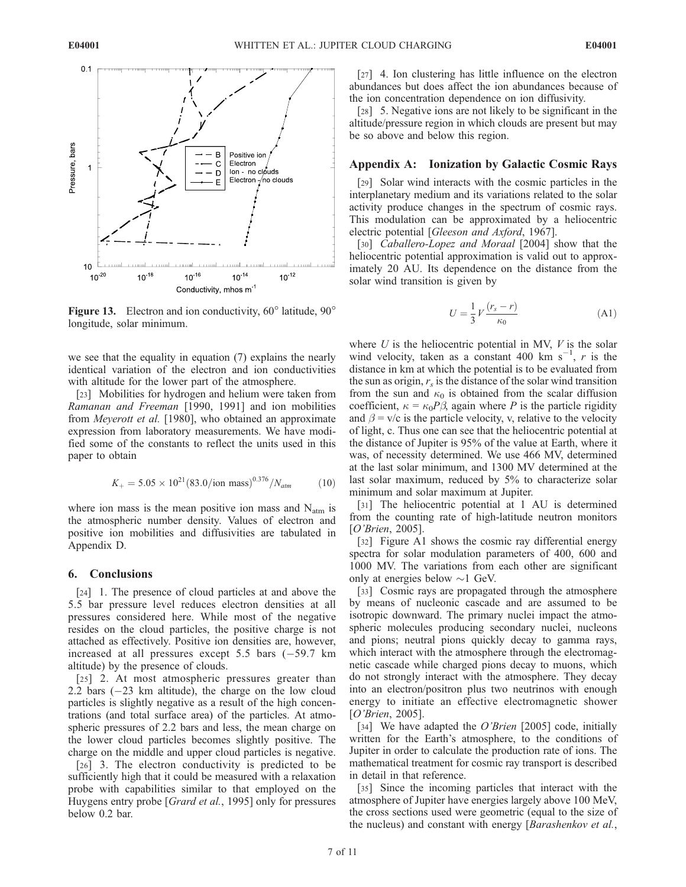

Figure 13. Electron and ion conductivity,  $60^\circ$  latitude,  $90^\circ$ longitude, solar minimum.

we see that the equality in equation (7) explains the nearly identical variation of the electron and ion conductivities with altitude for the lower part of the atmosphere.

[23] Mobilities for hydrogen and helium were taken from Ramanan and Freeman [1990, 1991] and ion mobilities from Meyerott et al. [1980], who obtained an approximate expression from laboratory measurements. We have modified some of the constants to reflect the units used in this paper to obtain

$$
K_{+} = 5.05 \times 10^{21} (83.0 / \text{ion mass})^{0.376} / N_{atm}
$$
 (10)

where ion mass is the mean positive ion mass and  $N_{\text{atm}}$  is the atmospheric number density. Values of electron and positive ion mobilities and diffusivities are tabulated in Appendix D.

### 6. Conclusions

[24] 1. The presence of cloud particles at and above the 5.5 bar pressure level reduces electron densities at all pressures considered here. While most of the negative resides on the cloud particles, the positive charge is not attached as effectively. Positive ion densities are, however, increased at all pressures except  $5.5$  bars  $(-59.7 \text{ km})$ altitude) by the presence of clouds.

[25] 2. At most atmospheric pressures greater than 2.2 bars (-23 km altitude), the charge on the low cloud particles is slightly negative as a result of the high concentrations (and total surface area) of the particles. At atmospheric pressures of 2.2 bars and less, the mean charge on the lower cloud particles becomes slightly positive. The charge on the middle and upper cloud particles is negative.

[26] 3. The electron conductivity is predicted to be sufficiently high that it could be measured with a relaxation probe with capabilities similar to that employed on the Huygens entry probe [Grard et al., 1995] only for pressures below 0.2 bar.

[27] 4. Ion clustering has little influence on the electron abundances but does affect the ion abundances because of the ion concentration dependence on ion diffusivity.

[28] 5. Negative ions are not likely to be significant in the altitude/pressure region in which clouds are present but may be so above and below this region.

## Appendix A: Ionization by Galactic Cosmic Rays

[29] Solar wind interacts with the cosmic particles in the interplanetary medium and its variations related to the solar activity produce changes in the spectrum of cosmic rays. This modulation can be approximated by a heliocentric electric potential [Gleeson and Axford, 1967].

[30] Caballero-Lopez and Moraal [2004] show that the heliocentric potential approximation is valid out to approximately 20 AU. Its dependence on the distance from the solar wind transition is given by

$$
U = \frac{1}{3} V \frac{(r_s - r)}{\kappa_0} \tag{A1}
$$

where  $U$  is the heliocentric potential in MV,  $V$  is the solar wind velocity, taken as a constant 400 km  $s^{-1}$ , r is the distance in km at which the potential is to be evaluated from the sun as origin,  $r<sub>s</sub>$  is the distance of the solar wind transition from the sun and  $\kappa_0$  is obtained from the scalar diffusion coefficient,  $\kappa = \kappa_0 P \beta$ , again where P is the particle rigidity and  $\beta = v/c$  is the particle velocity, v, relative to the velocity of light, c. Thus one can see that the heliocentric potential at the distance of Jupiter is 95% of the value at Earth, where it was, of necessity determined. We use 466 MV, determined at the last solar minimum, and 1300 MV determined at the last solar maximum, reduced by 5% to characterize solar minimum and solar maximum at Jupiter.

[31] The heliocentric potential at 1 AU is determined from the counting rate of high-latitude neutron monitors [O'Brien, 2005].

[32] Figure A1 shows the cosmic ray differential energy spectra for solar modulation parameters of 400, 600 and 1000 MV. The variations from each other are significant only at energies below  $\sim$ 1 GeV.

[33] Cosmic rays are propagated through the atmosphere by means of nucleonic cascade and are assumed to be isotropic downward. The primary nuclei impact the atmospheric molecules producing secondary nuclei, nucleons and pions; neutral pions quickly decay to gamma rays, which interact with the atmosphere through the electromagnetic cascade while charged pions decay to muons, which do not strongly interact with the atmosphere. They decay into an electron/positron plus two neutrinos with enough energy to initiate an effective electromagnetic shower [O'Brien, 2005].

[34] We have adapted the  $O'Brein [2005]$  code, initially written for the Earth's atmosphere, to the conditions of Jupiter in order to calculate the production rate of ions. The mathematical treatment for cosmic ray transport is described in detail in that reference.

[35] Since the incoming particles that interact with the atmosphere of Jupiter have energies largely above 100 MeV, the cross sections used were geometric (equal to the size of the nucleus) and constant with energy [Barashenkov et al.,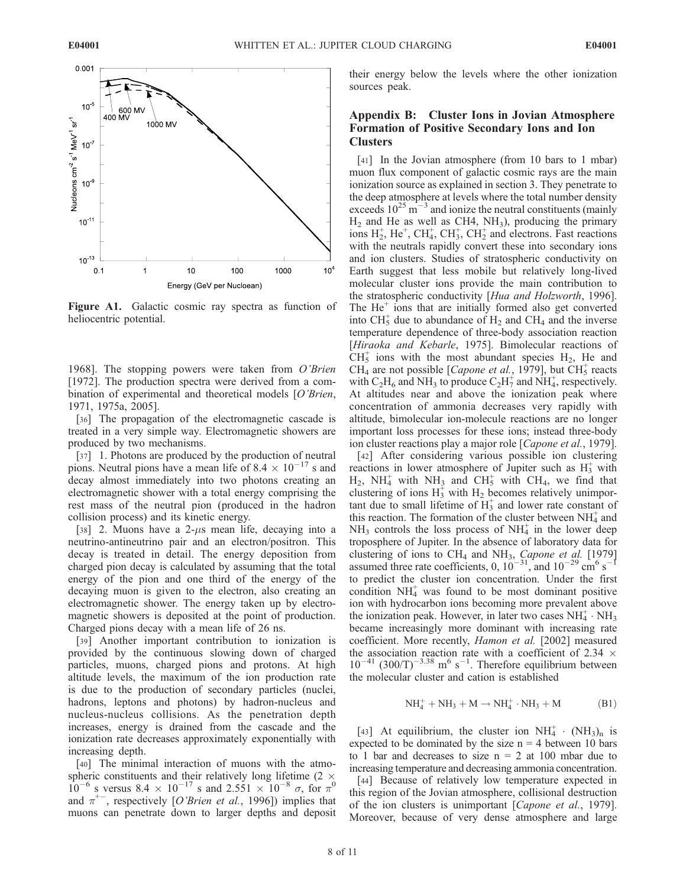

Figure A1. Galactic cosmic ray spectra as function of heliocentric potential.

1968]. The stopping powers were taken from O'Brien [1972]. The production spectra were derived from a combination of experimental and theoretical models [O'Brien, 1971, 1975a, 2005].

[36] The propagation of the electromagnetic cascade is treated in a very simple way. Electromagnetic showers are produced by two mechanisms.

[37] 1. Photons are produced by the production of neutral pions. Neutral pions have a mean life of 8.4  $\times$  10<sup>-17</sup> s and decay almost immediately into two photons creating an electromagnetic shower with a total energy comprising the rest mass of the neutral pion (produced in the hadron collision process) and its kinetic energy.

[38] 2. Muons have a  $2-\mu s$  mean life, decaying into a neutrino-antineutrino pair and an electron/positron. This decay is treated in detail. The energy deposition from charged pion decay is calculated by assuming that the total energy of the pion and one third of the energy of the decaying muon is given to the electron, also creating an electromagnetic shower. The energy taken up by electromagnetic showers is deposited at the point of production. Charged pions decay with a mean life of 26 ns.

[39] Another important contribution to ionization is provided by the continuous slowing down of charged particles, muons, charged pions and protons. At high altitude levels, the maximum of the ion production rate is due to the production of secondary particles (nuclei, hadrons, leptons and photons) by hadron-nucleus and nucleus-nucleus collisions. As the penetration depth increases, energy is drained from the cascade and the ionization rate decreases approximately exponentially with increasing depth.

[40] The minimal interaction of muons with the atmospheric constituents and their relatively long lifetime (2  $\times$  $10^{-6}$  s versus 8.4  $\times$  10<sup>-17</sup> s and 2.551  $\times$  10<sup>-8</sup>  $\sigma$ , for  $\pi^{0}$ and  $\pi^{+-}$ , respectively [O'Brien et al., 1996]) implies that muons can penetrate down to larger depths and deposit their energy below the levels where the other ionization sources peak.

# Appendix B: Cluster Ions in Jovian Atmosphere Formation of Positive Secondary Ions and Ion **Clusters**

[41] In the Jovian atmosphere (from 10 bars to 1 mbar) muon flux component of galactic cosmic rays are the main ionization source as explained in section 3. They penetrate to the deep atmosphere at levels where the total number density exceeds  $10^{25}$  m<sup>-3</sup> and ionize the neutral constituents (mainly  $H_2$  and He as well as CH4, NH<sub>3</sub>), producing the primary ions  $H_2^+$ , He<sup>+</sup>, CH<sub>4</sub>, CH<sub>3</sub>, CH<sub>2</sub><sup>+</sup> and electrons. Fast reactions with the neutrals rapidly convert these into secondary ions and ion clusters. Studies of stratospheric conductivity on Earth suggest that less mobile but relatively long-lived molecular cluster ions provide the main contribution to the stratospheric conductivity [Hua and Holzworth, 1996]. The  $He<sup>+</sup>$  ions that are initially formed also get converted into  $CH_5^+$  due to abundance of  $H_2$  and CH<sub>4</sub> and the inverse temperature dependence of three-body association reaction [Hiraoka and Kebarle, 1975]. Bimolecular reactions of  $CH<sub>5</sub><sup>+</sup>$  ions with the most abundant species  $H<sub>2</sub>$ , He and CH<sub>4</sub> are not possible [*Capone et al.*, 1979], but  $CH<sub>5</sub><sup>+</sup>$  reacts with C<sub>2</sub>H<sub>6</sub> and NH<sub>3</sub> to produce C<sub>2</sub>H<sub>7</sub><sup> $+$ </sup> and NH<sub>4</sub><sup> $+$ </sup>, respectively. At altitudes near and above the ionization peak where concentration of ammonia decreases very rapidly with altitude, bimolecular ion-molecule reactions are no longer important loss processes for these ions; instead three-body ion cluster reactions play a major role [Capone et al., 1979].

[42] After considering various possible ion clustering reactions in lower atmosphere of Jupiter such as  $H_3^+$  with  $H_2$ , NH<sub>4</sub> with NH<sub>3</sub> and CH<sub>5</sub> with CH<sub>4</sub>, we find that clustering of ions  $H_3^{\dagger}$  with  $H_2$  becomes relatively unimportant due to small lifetime of  $H_3^+$  and lower rate constant of this reaction. The formation of the cluster between  $NH<sub>4</sub><sup>+</sup>$  and  $NH<sub>3</sub>$  controls the loss process of  $NH<sub>4</sub>$  in the lower deep troposphere of Jupiter. In the absence of laboratory data for clustering of ions to  $CH_4$  and  $NH_3$ , Capone et al. [1979] assumed three rate coefficients, 0,  $10^{-31}$ , and  $10^{-29}$  cm<sup>6</sup> s<sup>-1</sup> to predict the cluster ion concentration. Under the first condition  $NH<sub>4</sub><sup>+</sup>$  was found to be most dominant positive ion with hydrocarbon ions becoming more prevalent above the ionization peak. However, in later two cases  $NH_4^+ \cdot NH_3$ became increasingly more dominant with increasing rate coefficient. More recently, Hamon et al. [2002] measured the association reaction rate with a coefficient of 2.34  $\times$  $10^{-41}$  (300/T)<sup>-3.38</sup> m<sup>6</sup> s<sup>-1</sup>. Therefore equilibrium between the molecular cluster and cation is established

$$
NH_4^+ + NH_3 + M \rightarrow NH_4^+ \cdot NH_3 + M \tag{B1}
$$

[43] At equilibrium, the cluster ion  $NH_4^+ \cdot (NH_3)_n$  is expected to be dominated by the size  $n = 4$  between 10 bars to 1 bar and decreases to size  $n = 2$  at 100 mbar due to increasing temperature and decreasing ammonia concentration.

[44] Because of relatively low temperature expected in this region of the Jovian atmosphere, collisional destruction of the ion clusters is unimportant [Capone et al., 1979]. Moreover, because of very dense atmosphere and large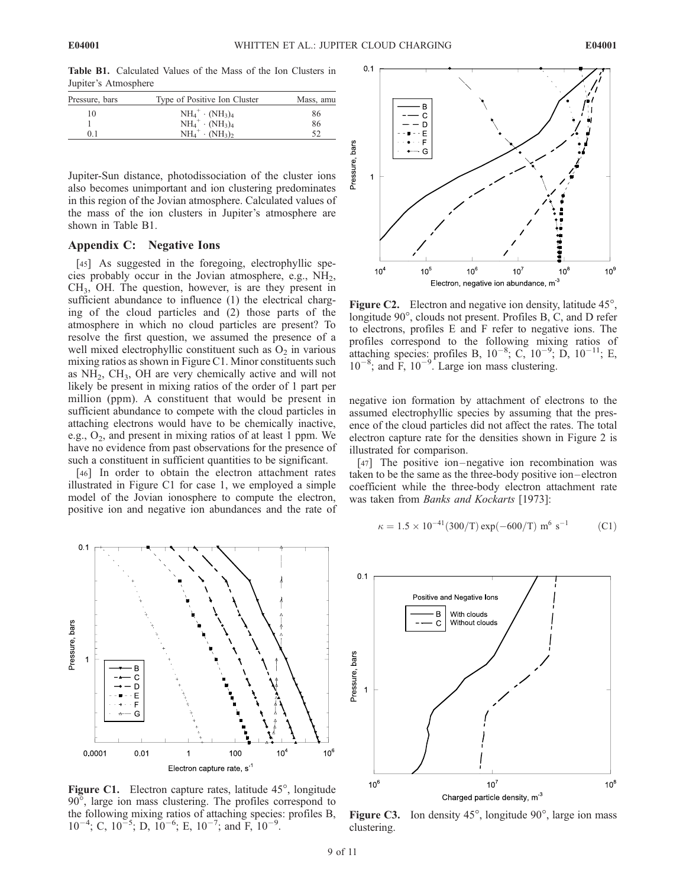E04001

Table B1. Calculated Values of the Mass of the Ion Clusters in Jupiter's Atmosphere

| Type of Positive Ion Cluster | Mass, amu               |
|------------------------------|-------------------------|
| $NH_4^+ \cdot (NH_3)_4$      | 86                      |
|                              | 86                      |
| $NH_4^+ \cdot (NH_2)_2$      | 52                      |
|                              | $NH_4^+ \cdot (NH_3)_4$ |

Jupiter-Sun distance, photodissociation of the cluster ions also becomes unimportant and ion clustering predominates in this region of the Jovian atmosphere. Calculated values of the mass of the ion clusters in Jupiter's atmosphere are shown in Table B1.

## Appendix C: Negative Ions

[45] As suggested in the foregoing, electrophyllic species probably occur in the Jovian atmosphere, e.g.,  $NH<sub>2</sub>$ , CH3, OH. The question, however, is are they present in sufficient abundance to influence (1) the electrical charging of the cloud particles and (2) those parts of the atmosphere in which no cloud particles are present? To resolve the first question, we assumed the presence of a well mixed electrophyllic constituent such as  $O<sub>2</sub>$  in various mixing ratios as shown in Figure C1. Minor constituents such as  $NH<sub>2</sub>$ , CH<sub>3</sub>, OH are very chemically active and will not likely be present in mixing ratios of the order of 1 part per million (ppm). A constituent that would be present in sufficient abundance to compete with the cloud particles in attaching electrons would have to be chemically inactive, e.g.,  $O_2$ , and present in mixing ratios of at least 1 ppm. We have no evidence from past observations for the presence of such a constituent in sufficient quantities to be significant.

[46] In order to obtain the electron attachment rates illustrated in Figure C1 for case 1, we employed a simple model of the Jovian ionosphere to compute the electron, positive ion and negative ion abundances and the rate of



Figure C1. Electron capture rates, latitude 45°, longitude 90, large ion mass clustering. The profiles correspond to the following mixing ratios of attaching species: profiles B,  $10^{-4}$ ; C,  $10^{-5}$ ; D,  $10^{-6}$ ; E,  $10^{-7}$ ; and F,  $10^{-9}$ .



**Figure C2.** Electron and negative ion density, latitude  $45^\circ$ , longitude 90°, clouds not present. Profiles B, C, and D refer to electrons, profiles E and F refer to negative ions. The profiles correspond to the following mixing ratios of attaching species: profiles B,  $10^{-8}$ ; C,  $10^{-9}$ ; D,  $10^{-11}$ ; E,  $10^{-8}$ ; and F,  $10^{-9}$ . Large ion mass clustering.

negative ion formation by attachment of electrons to the assumed electrophyllic species by assuming that the presence of the cloud particles did not affect the rates. The total electron capture rate for the densities shown in Figure 2 is illustrated for comparison.

[47] The positive ion-negative ion recombination was taken to be the same as the three-body positive ion –electron coefficient while the three-body electron attachment rate was taken from Banks and Kockarts [1973]:

$$
\kappa = 1.5 \times 10^{-41} (300/T) \exp(-600/T) \text{ m}^6 \text{ s}^{-1}
$$
 (C1)



**Figure C3.** Ion density  $45^\circ$ , longitude  $90^\circ$ , large ion mass clustering.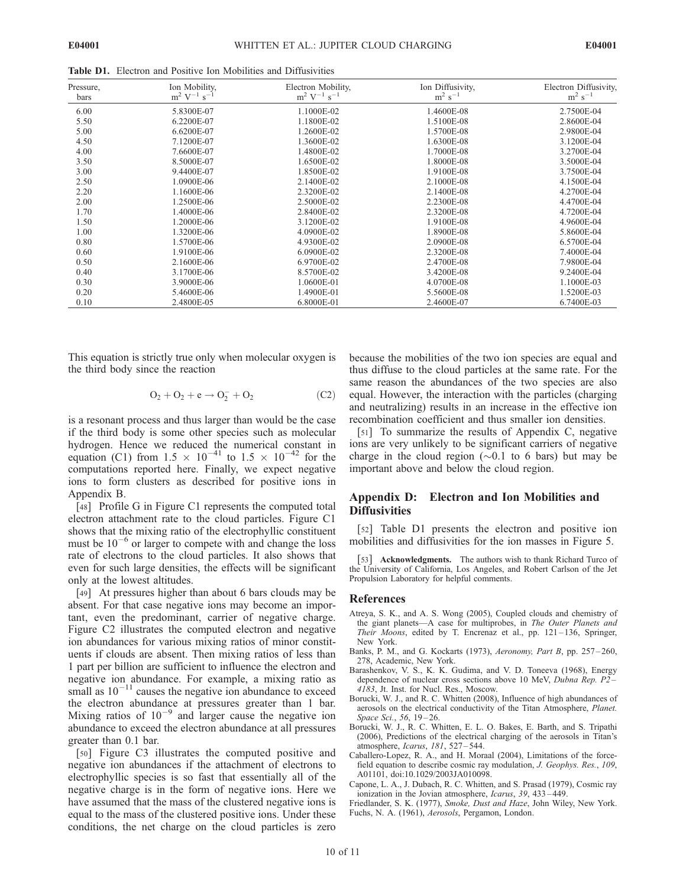Table D1. Electron and Positive Ion Mobilities and Diffusivities

| Pressure,<br>bars | Ion Mobility,<br>$\rm m^2~V^{-1}~s^{-1}$ | Electron Mobility,<br>$\rm m^2~V^{-1}~s^{-1}$ | Ion Diffusivity,<br>$m^2$ s <sup>-1</sup> | Electron Diffusivity,<br>$m^2$ s <sup>-1</sup> |
|-------------------|------------------------------------------|-----------------------------------------------|-------------------------------------------|------------------------------------------------|
| 6.00              | 5.8300E-07                               | 1.1000E-02                                    | 1.4600E-08                                | 2.7500E-04                                     |
| 5.50              | 6.2200E-07                               | 1.1800E-02                                    | 1.5100E-08                                | 2.8600E-04                                     |
| 5.00              | 6.6200E-07                               | 1.2600E-02                                    | 1.5700E-08                                | 2.9800E-04                                     |
| 4.50              | 7.1200E-07                               | 1.3600E-02                                    | 1.6300E-08                                | 3.1200E-04                                     |
| 4.00              | 7.6600E-07                               | 1.4800E-02                                    | 1.7000E-08                                | 3.2700E-04                                     |
| 3.50              | 8.5000E-07                               | 1.6500E-02                                    | 1.8000E-08                                | 3.5000E-04                                     |
| 3.00              | 9.4400E-07                               | 1.8500E-02                                    | 1.9100E-08                                | 3.7500E-04                                     |
| 2.50              | 1.0900E-06                               | 2.1400E-02                                    | 2.1000E-08                                | 4.1500E-04                                     |
| 2.20              | 1.1600E-06                               | 2.3200E-02                                    | 2.1400E-08                                | 4.2700E-04                                     |
| 2.00              | 1.2500E-06                               | 2.5000E-02                                    | 2.2300E-08                                | 4.4700E-04                                     |
| 1.70              | 1.4000E-06                               | 2.8400E-02                                    | 2.3200E-08                                | 4.7200E-04                                     |
| 1.50              | 1.2000E-06                               | 3.1200E-02                                    | 1.9100E-08                                | 4.9600E-04                                     |
| 1.00              | 1.3200E-06                               | 4.0900E-02                                    | 1.8900E-08                                | 5.8600E-04                                     |
| 0.80              | 1.5700E-06                               | 4.9300E-02                                    | 2.0900E-08                                | 6.5700E-04                                     |
| 0.60              | 1.9100E-06                               | 6.0900E-02                                    | 2.3200E-08                                | 7.4000E-04                                     |
| 0.50              | 2.1600E-06                               | 6.9700E-02                                    | 2.4700E-08                                | 7.9800E-04                                     |
| 0.40              | 3.1700E-06                               | 8.5700E-02                                    | 3.4200E-08                                | 9.2400E-04                                     |
| 0.30              | 3.9000E-06                               | 1.0600E-01                                    | 4.0700E-08                                | 1.1000E-03                                     |
| 0.20              | 5.4600E-06                               | 1.4900E-01                                    | 5.5600E-08                                | 1.5200E-03                                     |
| 0.10              | 2.4800E-05                               | 6.8000E-01                                    | 2.4600E-07                                | 6.7400E-03                                     |

This equation is strictly true only when molecular oxygen is the third body since the reaction

$$
O_2 + O_2 + e \to O_2^- + O_2 \tag{C2}
$$

is a resonant process and thus larger than would be the case if the third body is some other species such as molecular hydrogen. Hence we reduced the numerical constant in equation (C1) from  $1.5 \times 10^{-41}$  to  $1.5 \times 10^{-42}$  for the computations reported here. Finally, we expect negative ions to form clusters as described for positive ions in Appendix B.

[48] Profile G in Figure C1 represents the computed total electron attachment rate to the cloud particles. Figure C1 shows that the mixing ratio of the electrophyllic constituent must be  $10^{-6}$  or larger to compete with and change the loss rate of electrons to the cloud particles. It also shows that even for such large densities, the effects will be significant only at the lowest altitudes.

[49] At pressures higher than about 6 bars clouds may be absent. For that case negative ions may become an important, even the predominant, carrier of negative charge. Figure C2 illustrates the computed electron and negative ion abundances for various mixing ratios of minor constituents if clouds are absent. Then mixing ratios of less than 1 part per billion are sufficient to influence the electron and negative ion abundance. For example, a mixing ratio as small as  $10^{-11}$  causes the negative ion abundance to exceed the electron abundance at pressures greater than 1 bar. Mixing ratios of  $10^{-9}$  and larger cause the negative ion abundance to exceed the electron abundance at all pressures greater than 0.1 bar.

[50] Figure C3 illustrates the computed positive and negative ion abundances if the attachment of electrons to electrophyllic species is so fast that essentially all of the negative charge is in the form of negative ions. Here we have assumed that the mass of the clustered negative ions is equal to the mass of the clustered positive ions. Under these conditions, the net charge on the cloud particles is zero

because the mobilities of the two ion species are equal and thus diffuse to the cloud particles at the same rate. For the same reason the abundances of the two species are also equal. However, the interaction with the particles (charging and neutralizing) results in an increase in the effective ion recombination coefficient and thus smaller ion densities.

[51] To summarize the results of Appendix C, negative ions are very unlikely to be significant carriers of negative charge in the cloud region  $(\sim 0.1$  to 6 bars) but may be important above and below the cloud region.

## Appendix D: Electron and Ion Mobilities and **Diffusivities**

[52] Table D1 presents the electron and positive ion mobilities and diffusivities for the ion masses in Figure 5.

[53] **Acknowledgments.** The authors wish to thank Richard Turco of the University of California, Los Angeles, and Robert Carlson of the Jet Propulsion Laboratory for helpful comments.

#### References

- Atreya, S. K., and A. S. Wong (2005), Coupled clouds and chemistry of the giant planets—A case for multiprobes, in The Outer Planets and Their Moons, edited by T. Encrenaz et al., pp. 121-136, Springer, New York.
- Banks, P. M., and G. Kockarts (1973), Aeronomy, Part B, pp. 257-260, 278, Academic, New York.
- Barashenkov, V. S., K. K. Gudima, and V. D. Toneeva (1968), Energy dependence of nuclear cross sections above 10 MeV, Dubna Rep. P2 – 4183, Jt. Inst. for Nucl. Res., Moscow.
- Borucki, W. J., and R. C. Whitten (2008), Influence of high abundances of aerosols on the electrical conductivity of the Titan Atmosphere, Planet. Space Sci., 56, 19-26.
- Borucki, W. J., R. C. Whitten, E. L. O. Bakes, E. Barth, and S. Tripathi (2006), Predictions of the electrical charging of the aerosols in Titan's atmosphere, Icarus, 181, 527 – 544.
- Caballero-Lopez, R. A., and H. Moraal (2004), Limitations of the forcefield equation to describe cosmic ray modulation, J. Geophys. Res., 109, A01101, doi:10.1029/2003JA010098.
- Capone, L. A., J. Dubach, R. C. Whitten, and S. Prasad (1979), Cosmic ray ionization in the Jovian atmosphere, Icarus, 39, 433-449.
- Friedlander, S. K. (1977), Smoke, Dust and Haze, John Wiley, New York. Fuchs, N. A. (1961), Aerosols, Pergamon, London.